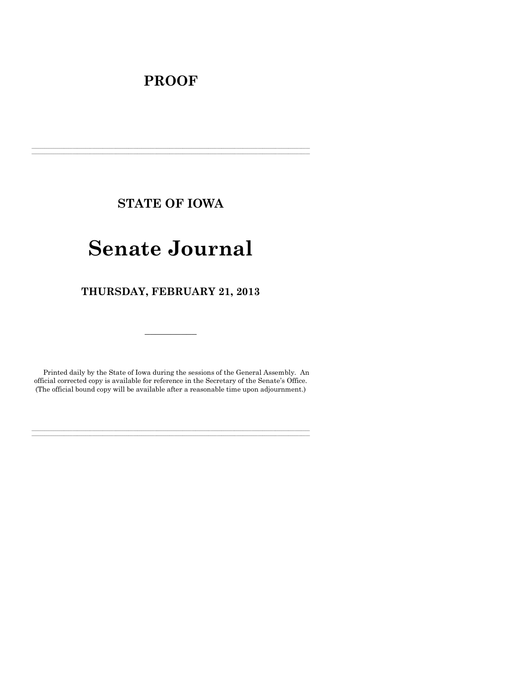# **PROOF**

**STATE OF IOWA**

**\_\_\_\_\_\_\_\_\_\_\_\_\_\_\_\_\_\_\_\_\_\_\_\_\_\_\_\_\_\_\_\_\_\_\_\_\_\_\_\_\_\_\_\_\_\_\_\_\_\_\_\_\_\_\_\_\_\_\_\_\_\_\_\_\_\_\_\_\_\_\_\_\_\_\_\_\_\_\_\_\_\_\_\_\_\_\_\_\_\_\_\_\_\_\_\_\_\_\_\_\_\_\_\_\_\_\_\_\_\_\_\_\_\_\_\_\_\_\_\_\_\_\_\_\_\_\_\_\_**  $\mathcal{L} = \{ \mathcal{L} = \{ \mathcal{L} = \{ \mathcal{L} = \{ \mathcal{L} = \{ \mathcal{L} = \{ \mathcal{L} = \{ \mathcal{L} = \{ \mathcal{L} = \{ \mathcal{L} = \{ \mathcal{L} = \{ \mathcal{L} = \{ \mathcal{L} = \{ \mathcal{L} = \{ \mathcal{L} = \{ \mathcal{L} = \{ \mathcal{L} = \{ \mathcal{L} = \{ \mathcal{L} = \{ \mathcal{L} = \{ \mathcal{L} = \{ \mathcal{L} = \{ \mathcal{L} = \{ \mathcal{L} = \{ \mathcal{$ 

# **Senate Journal**

**THURSDAY, FEBRUARY 21, 2013**

Printed daily by the State of Iowa during the sessions of the General Assembly. An official corrected copy is available for reference in the Secretary of the Senate's Office. (The official bound copy will be available after a reasonable time upon adjournment.)

**\_\_\_\_\_\_\_\_\_\_\_\_\_\_\_\_\_\_\_\_\_\_\_\_\_\_\_\_\_\_\_\_\_\_\_\_\_\_\_\_\_\_\_\_\_\_\_\_\_\_\_\_\_\_\_\_\_\_\_\_\_\_\_\_\_\_\_\_\_\_\_\_\_\_\_\_\_\_\_\_\_\_\_\_\_\_\_\_\_\_\_\_\_\_\_\_\_\_\_\_\_\_\_\_\_\_\_\_\_\_\_\_\_\_\_\_\_\_\_\_\_\_\_\_\_\_\_\_\_ \_\_\_\_\_\_\_\_\_\_\_\_\_\_\_\_\_\_\_\_\_\_\_\_\_\_\_\_\_\_\_\_\_\_\_\_\_\_\_\_\_\_\_\_\_\_\_\_\_\_\_\_\_\_\_\_\_\_\_\_\_\_\_\_\_\_\_\_\_\_\_\_\_\_\_\_\_\_\_\_\_\_\_\_\_\_\_\_\_\_\_\_\_\_\_\_\_\_\_\_\_\_\_\_\_\_\_\_\_\_\_\_\_\_\_\_\_\_\_\_\_\_\_\_\_\_\_\_\_**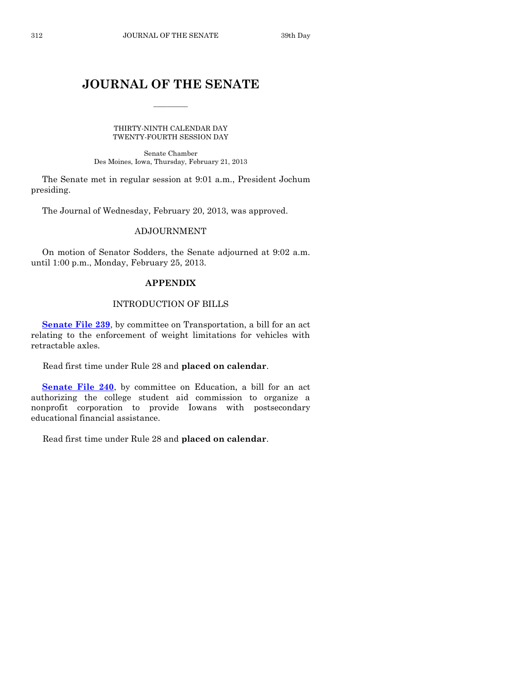# **JOURNAL OF THE SENATE**

 $\overline{\phantom{a}}$ 

THIRTY-NINTH CALENDAR DAY TWENTY-FOURTH SESSION DAY

Senate Chamber Des Moines, Iowa, Thursday, February 21, 2013

The Senate met in regular session at 9:01 a.m., President Jochum presiding.

The Journal of Wednesday, February 20, 2013, was approved.

# ADJOURNMENT

On motion of Senator Sodders, the Senate adjourned at 9:02 a.m. until 1:00 p.m., Monday, February 25, 2013.

# **APPENDIX**

# INTRODUCTION OF BILLS

**[Senate File 239](http://coolice.legis.state.ia.us/Cool-ICE/default.asp?Category=billinfo&Service=Billbook&frame=1&GA=85&hbill=SF239)**, by committee on Transportation, a bill for an act relating to the enforcement of weight limitations for vehicles with retractable axles.

Read first time under Rule 28 and **placed on calendar**.

**[Senate File 240](http://coolice.legis.state.ia.us/Cool-ICE/default.asp?Category=billinfo&Service=Billbook&frame=1&GA=85&hbill=SF240)**, by committee on Education, a bill for an act authorizing the college student aid commission to organize a nonprofit corporation to provide Iowans with postsecondary educational financial assistance.

Read first time under Rule 28 and **placed on calendar**.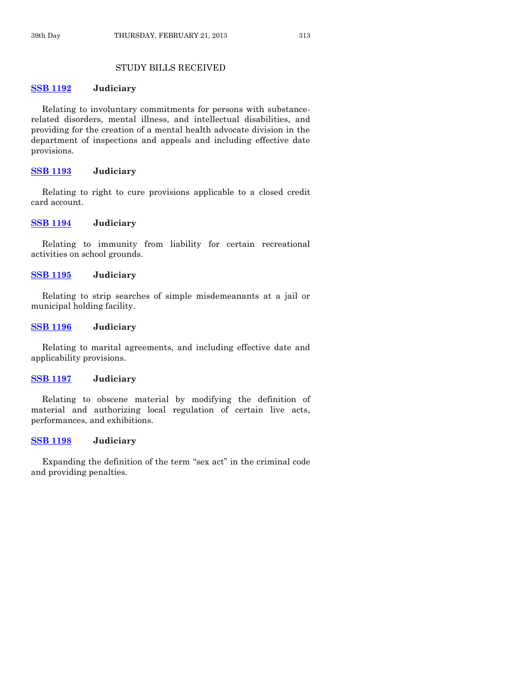# STUDY BILLS RECEIVED

#### **[SSB 1192](http://coolice.legis.state.ia.us/Cool-ICE/default.asp?Category=billinfo&Service=Billbook&frame=1&GA=85&hbill=SSB1192) Judiciary**

Relating to involuntary commitments for persons with substancerelated disorders, mental illness, and intellectual disabilities, and providing for the creation of a mental health advocate division in the department of inspections and appeals and including effective date provisions.

# **[SSB 1193](http://coolice.legis.state.ia.us/Cool-ICE/default.asp?Category=billinfo&Service=Billbook&frame=1&GA=85&hbill=SSB1193) Judiciary**

Relating to right to cure provisions applicable to a closed credit card account.

# **[SSB 1194](http://coolice.legis.state.ia.us/Cool-ICE/default.asp?Category=billinfo&Service=Billbook&frame=1&GA=85&hbill=SSB1194) Judiciary**

Relating to immunity from liability for certain recreational activities on school grounds.

**[SSB 1195](http://coolice.legis.state.ia.us/Cool-ICE/default.asp?Category=billinfo&Service=Billbook&frame=1&GA=85&hbill=SSB1195) Judiciary**

Relating to strip searches of simple misdemeanants at a jail or municipal holding facility.

# **[SSB 1196](http://coolice.legis.state.ia.us/Cool-ICE/default.asp?Category=billinfo&Service=Billbook&frame=1&GA=85&hbill=SSB1196) Judiciary**

Relating to marital agreements, and including effective date and applicability provisions.

# **[SSB 1197](http://coolice.legis.state.ia.us/Cool-ICE/default.asp?Category=billinfo&Service=Billbook&frame=1&GA=85&hbill=SSB1197) Judiciary**

Relating to obscene material by modifying the definition of material and authorizing local regulation of certain live acts, performances, and exhibitions.

# **[SSB 1198](http://coolice.legis.state.ia.us/Cool-ICE/default.asp?Category=billinfo&Service=Billbook&frame=1&GA=85&hbill=SSB1198) Judiciary**

Expanding the definition of the term "sex act" in the criminal code and providing penalties.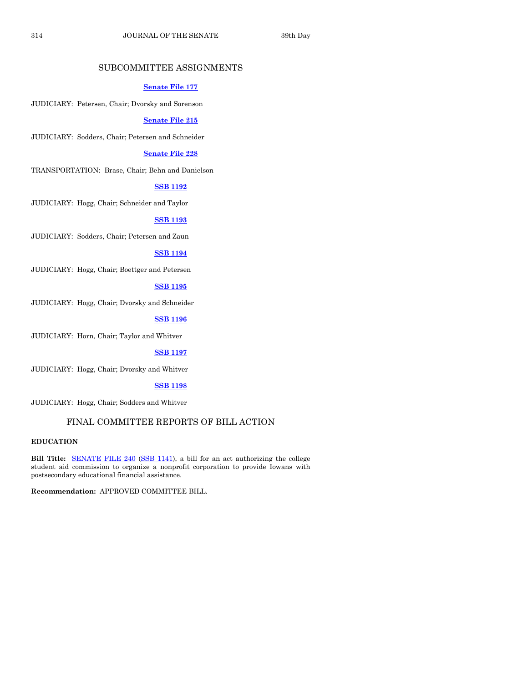# SUBCOMMITTEE ASSIGNMENTS

#### **[Senate File 177](http://coolice.legis.state.ia.us/Cool-ICE/default.asp?Category=billinfo&Service=Billbook&frame=1&GA=85&hbill=SF177)**

JUDICIARY: Petersen, Chair; Dvorsky and Sorenson

#### **[Senate File 215](http://coolice.legis.state.ia.us/Cool-ICE/default.asp?Category=billinfo&Service=Billbook&frame=1&GA=85&hbill=SF215)**

JUDICIARY: Sodders, Chair; Petersen and Schneider

# **[Senate File 228](http://coolice.legis.state.ia.us/Cool-ICE/default.asp?Category=billinfo&Service=Billbook&frame=1&GA=85&hbill=SF228)**

TRANSPORTATION: Brase, Chair; Behn and Danielson

# **[SSB 1192](http://coolice.legis.state.ia.us/Cool-ICE/default.asp?Category=billinfo&Service=Billbook&frame=1&GA=85&hbill=SSB1192)**

JUDICIARY: Hogg, Chair; Schneider and Taylor

# **[SSB 1193](http://coolice.legis.state.ia.us/Cool-ICE/default.asp?Category=billinfo&Service=Billbook&frame=1&GA=85&hbill=SSB1193)**

JUDICIARY: Sodders, Chair; Petersen and Zaun

#### **[SSB 1194](http://coolice.legis.state.ia.us/Cool-ICE/default.asp?Category=billinfo&Service=Billbook&frame=1&GA=85&hbill=SSB1194)**

JUDICIARY: Hogg, Chair; Boettger and Petersen

# **[SSB 1195](http://coolice.legis.state.ia.us/Cool-ICE/default.asp?Category=billinfo&Service=Billbook&frame=1&GA=85&hbill=SSB1195)**

JUDICIARY: Hogg, Chair; Dvorsky and Schneider

# **[SSB 1196](http://coolice.legis.state.ia.us/Cool-ICE/default.asp?Category=billinfo&Service=Billbook&frame=1&GA=85&hbill=SSB1196)**

JUDICIARY: Horn, Chair; Taylor and Whitver

# **[SSB 1197](http://coolice.legis.state.ia.us/Cool-ICE/default.asp?Category=billinfo&Service=Billbook&frame=1&GA=85&hbill=SSB1197)**

JUDICIARY: Hogg, Chair; Dvorsky and Whitver

#### **[SSB 1198](http://coolice.legis.state.ia.us/Cool-ICE/default.asp?Category=billinfo&Service=Billbook&frame=1&GA=85&hbill=SSB1198)**

JUDICIARY: Hogg, Chair; Sodders and Whitver

# FINAL COMMITTEE REPORTS OF BILL ACTION

# **EDUCATION**

**Bill Title:** [SENATE FILE 240](http://coolice.legis.state.ia.us/Cool-ICE/default.asp?Category=billinfo&Service=Billbook&frame=1&GA=85&hbill=SF240) [\(SSB 1141\)](http://coolice.legis.state.ia.us/Cool-ICE/default.asp?Category=billinfo&Service=Billbook&frame=1&GA=85&hbill=SSB1141), a bill for an act authorizing the college student aid commission to organize a nonprofit corporation to provide Iowans with postsecondary educational financial assistance.

**Recommendation:** APPROVED COMMITTEE BILL.